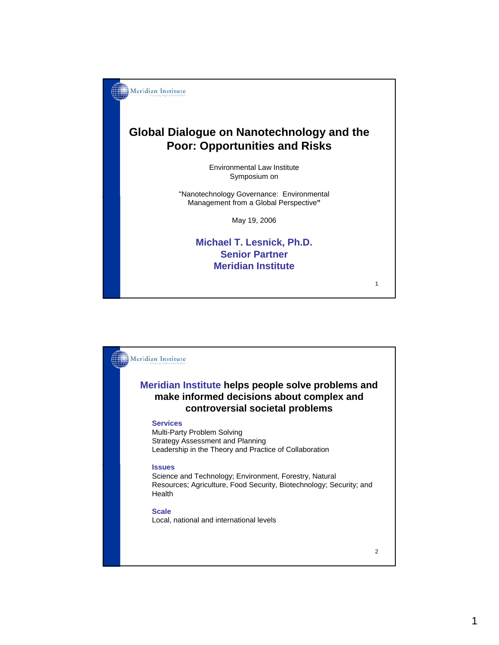

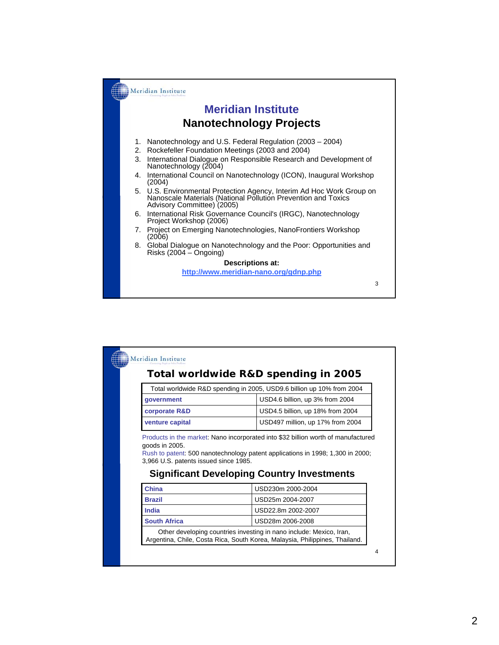

| Total worldwide R&D spending in 2005, USD9.6 billion up 10% from 2004 |                                                                                                                                                                                           |
|-----------------------------------------------------------------------|-------------------------------------------------------------------------------------------------------------------------------------------------------------------------------------------|
| qovernment                                                            | USD4.6 billion, up 3% from 2004                                                                                                                                                           |
| corporate R&D                                                         | USD4.5 billion, up 18% from 2004                                                                                                                                                          |
| venture capital                                                       | USD497 million, up 17% from 2004                                                                                                                                                          |
| goods in 2005.<br>3,966 U.S. patents issued since 1985.               | <b>Significant Developing Country Investments</b>                                                                                                                                         |
| <b>China</b>                                                          | USD230m 2000-2004                                                                                                                                                                         |
| <b>Brazil</b>                                                         | USD25m 2004-2007                                                                                                                                                                          |
| India                                                                 | Products in the market: Nano incorporated into \$32 billion worth of manufactured<br>Rush to patent: 500 nanotechnology patent applications in 1998; 1,300 in 2000;<br>USD22.8m 2002-2007 |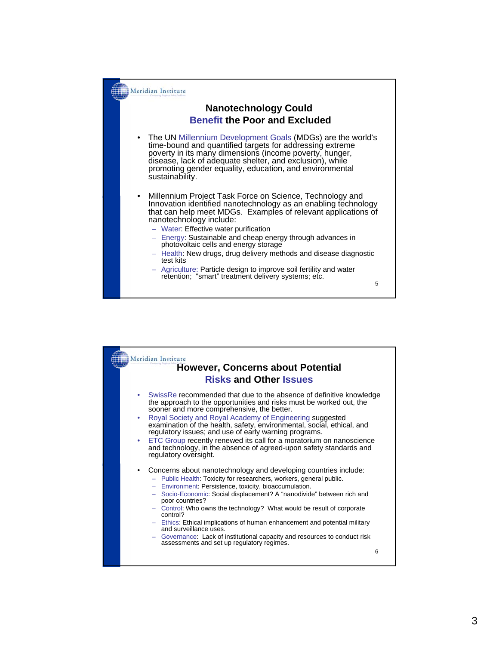

| Meridian Institute<br><b>However, Concerns about Potential</b> |                                                                                                                                                                                                                                                                                                                                                                                                                                                                                                                                                                                                                                                                                                                                                                                                                                                                                                         |  |
|----------------------------------------------------------------|---------------------------------------------------------------------------------------------------------------------------------------------------------------------------------------------------------------------------------------------------------------------------------------------------------------------------------------------------------------------------------------------------------------------------------------------------------------------------------------------------------------------------------------------------------------------------------------------------------------------------------------------------------------------------------------------------------------------------------------------------------------------------------------------------------------------------------------------------------------------------------------------------------|--|
| <b>Risks and Other Issues</b>                                  |                                                                                                                                                                                                                                                                                                                                                                                                                                                                                                                                                                                                                                                                                                                                                                                                                                                                                                         |  |
|                                                                | SwissRe recommended that due to the absence of definitive knowledge<br>۰<br>the approach to the opportunities and risks must be worked out, the<br>sooner and more comprehensive, the better.<br>Royal Society and Royal Academy of Engineering suggested<br>۰<br>examination of the health, safety, environmental, social, ethical, and<br>regulatory issues; and use of early warning programs.<br>ETC Group recently renewed its call for a moratorium on nanoscience<br>۰<br>and technology, in the absence of agreed-upon safety standards and<br>regulatory oversight.<br>Concerns about nanotechnology and developing countries include:<br>- Public Health: Toxicity for researchers, workers, general public.<br>- Environment: Persistence, toxicity, bioaccumulation.<br>Socio-Economic: Social displacement? A "nanodivide" between rich and<br>$\overline{\phantom{0}}$<br>poor countries? |  |
|                                                                | - Control: Who owns the technology? What would be result of corporate<br>control?                                                                                                                                                                                                                                                                                                                                                                                                                                                                                                                                                                                                                                                                                                                                                                                                                       |  |
|                                                                | - Ethics: Ethical implications of human enhancement and potential military<br>and surveillance uses.                                                                                                                                                                                                                                                                                                                                                                                                                                                                                                                                                                                                                                                                                                                                                                                                    |  |
|                                                                | - Governance: Lack of institutional capacity and resources to conduct risk<br>assessments and set up regulatory regimes.                                                                                                                                                                                                                                                                                                                                                                                                                                                                                                                                                                                                                                                                                                                                                                                |  |
|                                                                | 6                                                                                                                                                                                                                                                                                                                                                                                                                                                                                                                                                                                                                                                                                                                                                                                                                                                                                                       |  |
|                                                                |                                                                                                                                                                                                                                                                                                                                                                                                                                                                                                                                                                                                                                                                                                                                                                                                                                                                                                         |  |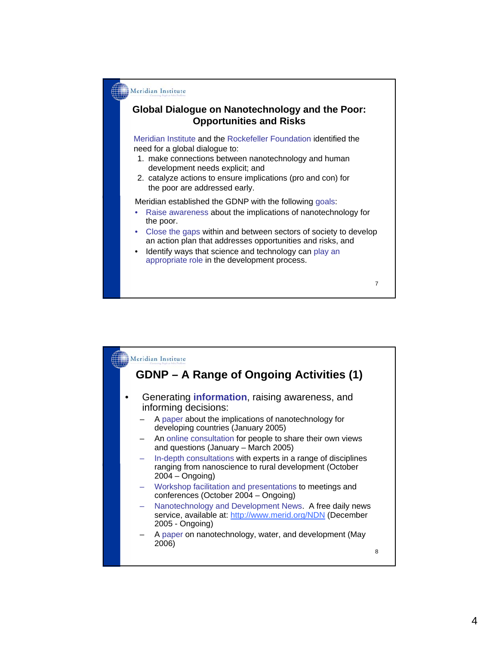

7

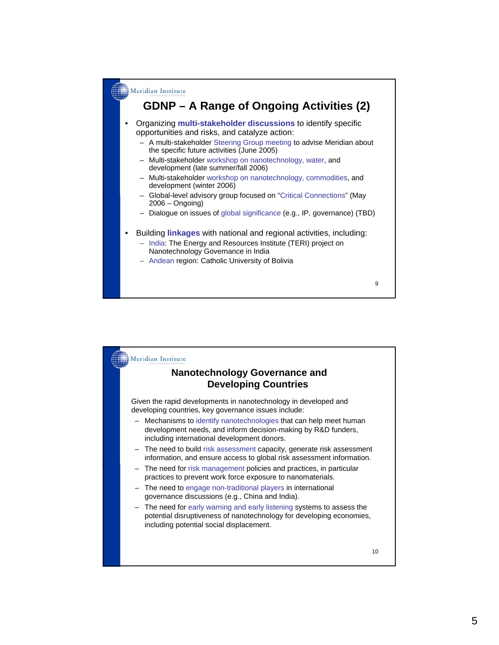